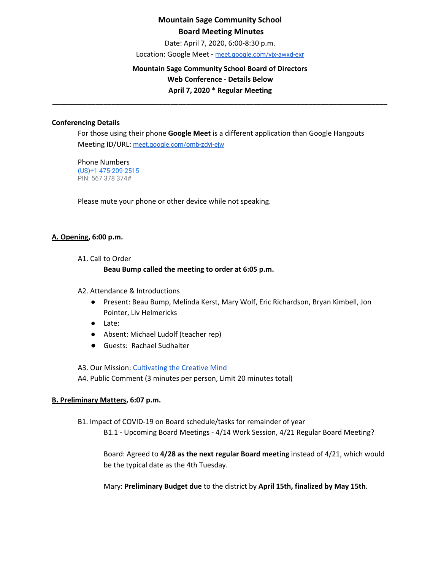Date: April 7, 2020, 6:00-8:30 p.m.

Location: Google Meet - [meet.google.com/yjx-awxd-exr](https://meet.google.com/yjx-awxd-exr)

### **Mountain Sage Community School Board of Directors Web Conference - Details Below April 7, 2020 \* Regular Meeting**

**\_\_\_\_\_\_\_\_\_\_\_\_\_\_\_\_\_\_\_\_\_\_\_\_\_\_\_\_\_\_\_\_\_\_\_\_\_\_\_\_\_\_\_\_\_\_\_\_\_\_\_\_\_\_\_\_\_\_\_\_\_\_\_\_\_\_\_\_\_\_\_\_\_\_\_\_\_\_\_\_\_\_\_\_\_**

#### **Conferencing Details**

For those using their phone **Google Meet** is a different application than Google Hangouts Meeting ID/URL: [meet.google.com/omb-zdyi-ejw](https://meet.google.com/omb-zdyi-ejw)

Phone Numbers (US)+1 475-209-2515 PIN: 567 378 374#

Please mute your phone or other device while not speaking.

#### **A. Opening, 6:00 p.m.**

A1. Call to Order

#### **Beau Bump called the meeting to order at 6:05 p.m.**

- A2. Attendance & Introductions
	- Present: Beau Bump, Melinda Kerst, Mary Wolf, Eric Richardson, Bryan Kimbell, Jon Pointer, Liv Helmericks
	- Late:
	- Absent: Michael Ludolf (teacher rep)
	- Guests: Rachael Sudhalter

A3. Our Mission: [Cultivating](http://www.mountainsage.org/mission-and-vision.html) the Creative Mind

A4. Public Comment (3 minutes per person, Limit 20 minutes total)

#### **B. Preliminary Matters, 6:07 p.m.**

B1. Impact of COVID-19 on Board schedule/tasks for remainder of year

B1.1 - Upcoming Board Meetings - 4/14 Work Session, 4/21 Regular Board Meeting?

Board: Agreed to **4/28 as the next regular Board meeting** instead of 4/21, which would be the typical date as the 4th Tuesday.

Mary: **Preliminary Budget due** to the district by **April 15th, finalized by May 15th**.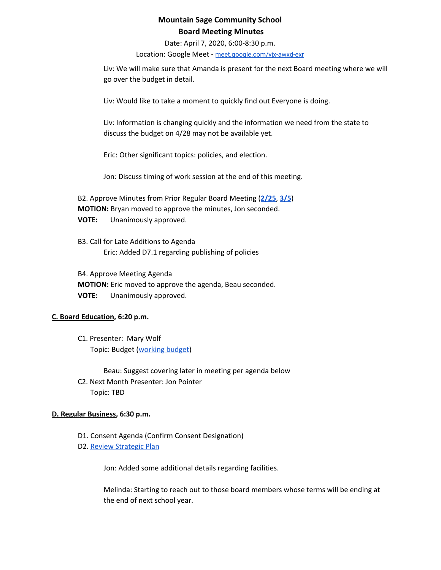Date: April 7, 2020, 6:00-8:30 p.m.

Location: Google Meet - [meet.google.com/yjx-awxd-exr](https://meet.google.com/yjx-awxd-exr)

Liv: We will make sure that Amanda is present for the next Board meeting where we will go over the budget in detail.

Liv: Would like to take a moment to quickly find out Everyone is doing.

Liv: Information is changing quickly and the information we need from the state to discuss the budget on 4/28 may not be available yet.

Eric: Other significant topics: policies, and election.

Jon: Discuss timing of work session at the end of this meeting.

B2. Approve Minutes from Prior Regular Board Meeting (**[2/25](https://docs.google.com/document/d/1kZVtjH8q1wDoj6ObTmjKShwFdPSvEAAbv2CXuxF5xFc)**, **[3/5](https://docs.google.com/document/d/1p7XSdZMciDJrTsFLPpEw92xKHEo0GuOzOaJmaST1FQg?usp=sharing)**) **MOTION:** Bryan moved to approve the minutes, Jon seconded. **VOTE:** Unanimously approved.

B3. Call for Late Additions to Agenda Eric: Added D7.1 regarding publishing of policies

B4. Approve Meeting Agenda **MOTION:** Eric moved to approve the agenda, Beau seconded. **VOTE:** Unanimously approved.

#### **C. Board Education, 6:20 p.m.**

C1. Presenter: Mary Wolf Topic: Budget ([working](https://drive.google.com/file/d/1mj39zwz1Gv62rcuUI3lfYyjRrXQnATCm/view?usp=sharing) budget)

Beau: Suggest covering later in meeting per agenda below C2. Next Month Presenter: Jon Pointer Topic: TBD

#### **D. Regular Business, 6:30 p.m.**

- D1. Consent Agenda (Confirm Consent Designation)
- D2. Review [Strategic](https://drive.google.com/file/d/1bIEAL8S8NnDx9PPJRR79h1dLsXFMCh-t/view?usp=sharing) Plan

Jon: Added some additional details regarding facilities.

Melinda: Starting to reach out to those board members whose terms will be ending at the end of next school year.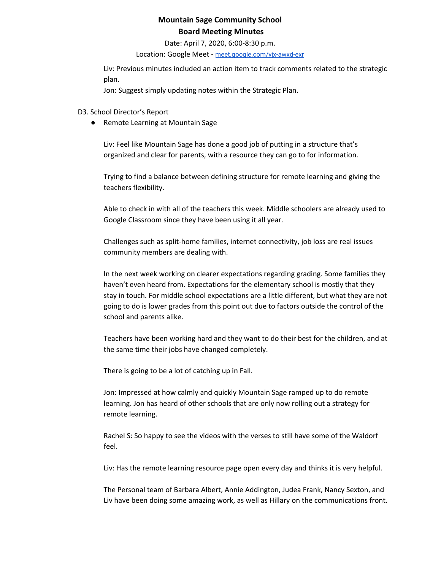Date: April 7, 2020, 6:00-8:30 p.m.

Location: Google Meet - [meet.google.com/yjx-awxd-exr](https://meet.google.com/yjx-awxd-exr)

Liv: Previous minutes included an action item to track comments related to the strategic plan.

Jon: Suggest simply updating notes within the Strategic Plan.

D3. School Director's Report

● Remote Learning at Mountain Sage

Liv: Feel like Mountain Sage has done a good job of putting in a structure that's organized and clear for parents, with a resource they can go to for information.

Trying to find a balance between defining structure for remote learning and giving the teachers flexibility.

Able to check in with all of the teachers this week. Middle schoolers are already used to Google Classroom since they have been using it all year.

Challenges such as split-home families, internet connectivity, job loss are real issues community members are dealing with.

In the next week working on clearer expectations regarding grading. Some families they haven't even heard from. Expectations for the elementary school is mostly that they stay in touch. For middle school expectations are a little different, but what they are not going to do is lower grades from this point out due to factors outside the control of the school and parents alike.

Teachers have been working hard and they want to do their best for the children, and at the same time their jobs have changed completely.

There is going to be a lot of catching up in Fall.

Jon: Impressed at how calmly and quickly Mountain Sage ramped up to do remote learning. Jon has heard of other schools that are only now rolling out a strategy for remote learning.

Rachel S: So happy to see the videos with the verses to still have some of the Waldorf feel.

Liv: Has the remote learning resource page open every day and thinks it is very helpful.

The Personal team of Barbara Albert, Annie Addington, Judea Frank, Nancy Sexton, and Liv have been doing some amazing work, as well as Hillary on the communications front.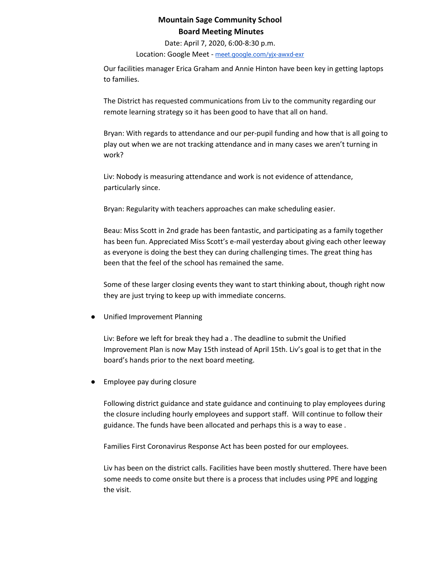Date: April 7, 2020, 6:00-8:30 p.m.

Location: Google Meet - [meet.google.com/yjx-awxd-exr](https://meet.google.com/yjx-awxd-exr)

Our facilities manager Erica Graham and Annie Hinton have been key in getting laptops to families.

The District has requested communications from Liv to the community regarding our remote learning strategy so it has been good to have that all on hand.

Bryan: With regards to attendance and our per-pupil funding and how that is all going to play out when we are not tracking attendance and in many cases we aren't turning in work?

Liv: Nobody is measuring attendance and work is not evidence of attendance, particularly since.

Bryan: Regularity with teachers approaches can make scheduling easier.

Beau: Miss Scott in 2nd grade has been fantastic, and participating as a family together has been fun. Appreciated Miss Scott's e-mail yesterday about giving each other leeway as everyone is doing the best they can during challenging times. The great thing has been that the feel of the school has remained the same.

Some of these larger closing events they want to start thinking about, though right now they are just trying to keep up with immediate concerns.

Unified Improvement Planning

Liv: Before we left for break they had a . The deadline to submit the Unified Improvement Plan is now May 15th instead of April 15th. Liv's goal is to get that in the board's hands prior to the next board meeting.

Employee pay during closure

Following district guidance and state guidance and continuing to play employees during the closure including hourly employees and support staff. Will continue to follow their guidance. The funds have been allocated and perhaps this is a way to ease .

Families First Coronavirus Response Act has been posted for our employees.

Liv has been on the district calls. Facilities have been mostly shuttered. There have been some needs to come onsite but there is a process that includes using PPE and logging the visit.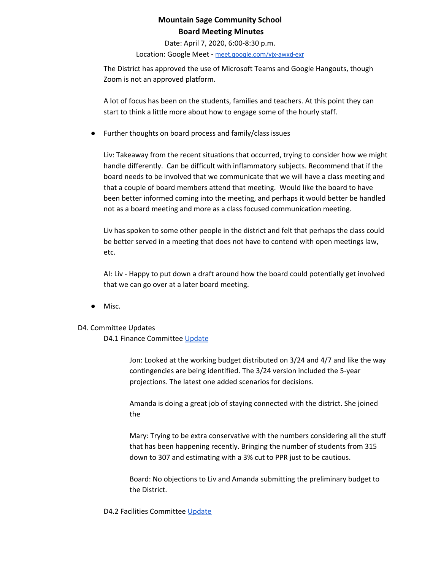Date: April 7, 2020, 6:00-8:30 p.m.

Location: Google Meet - [meet.google.com/yjx-awxd-exr](https://meet.google.com/yjx-awxd-exr)

The District has approved the use of Microsoft Teams and Google Hangouts, though Zoom is not an approved platform.

A lot of focus has been on the students, families and teachers. At this point they can start to think a little more about how to engage some of the hourly staff.

● Further thoughts on board process and family/class issues

Liv: Takeaway from the recent situations that occurred, trying to consider how we might handle differently. Can be difficult with inflammatory subjects. Recommend that if the board needs to be involved that we communicate that we will have a class meeting and that a couple of board members attend that meeting. Would like the board to have been better informed coming into the meeting, and perhaps it would better be handled not as a board meeting and more as a class focused communication meeting.

Liv has spoken to some other people in the district and felt that perhaps the class could be better served in a meeting that does not have to contend with open meetings law, etc.

AI: Liv - Happy to put down a draft around how the board could potentially get involved that we can go over at a later board meeting.

Misc.

#### D4. Committee Updates

D4.1 Finance Committee [Update](https://docs.google.com/document/d/1qgpApbHD3p7cueDy3IesW5lRld4soAaGRzanFYJjxaI/edit?usp=sharing)

Jon: Looked at the working budget distributed on 3/24 and 4/7 and like the way contingencies are being identified. The 3/24 version included the 5-year projections. The latest one added scenarios for decisions.

Amanda is doing a great job of staying connected with the district. She joined the

Mary: Trying to be extra conservative with the numbers considering all the stuff that has been happening recently. Bringing the number of students from 315 down to 307 and estimating with a 3% cut to PPR just to be cautious.

Board: No objections to Liv and Amanda submitting the preliminary budget to the District.

D4.2 Facilities Committee [Update](https://docs.google.com/document/d/1mOuEP_PhSZ6fXgU3Jpsyl7hzkJrllq0WANTRfnABlxE/edit?usp=sharing)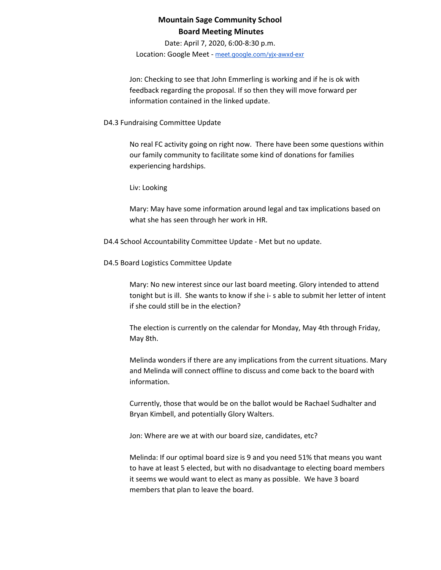Date: April 7, 2020, 6:00-8:30 p.m.

Location: Google Meet - [meet.google.com/yjx-awxd-exr](https://meet.google.com/yjx-awxd-exr)

Jon: Checking to see that John Emmerling is working and if he is ok with feedback regarding the proposal. If so then they will move forward per information contained in the linked update.

### D4.3 Fundraising Committee Update

No real FC activity going on right now. There have been some questions within our family community to facilitate some kind of donations for families experiencing hardships.

Liv: Looking

Mary: May have some information around legal and tax implications based on what she has seen through her work in HR.

D4.4 School Accountability Committee Update - Met but no update.

D4.5 Board Logistics Committee Update

Mary: No new interest since our last board meeting. Glory intended to attend tonight but is ill. She wants to know if she i- s able to submit her letter of intent if she could still be in the election?

The election is currently on the calendar for Monday, May 4th through Friday, May 8th.

Melinda wonders if there are any implications from the current situations. Mary and Melinda will connect offline to discuss and come back to the board with information.

Currently, those that would be on the ballot would be Rachael Sudhalter and Bryan Kimbell, and potentially Glory Walters.

Jon: Where are we at with our board size, candidates, etc?

Melinda: If our optimal board size is 9 and you need 51% that means you want to have at least 5 elected, but with no disadvantage to electing board members it seems we would want to elect as many as possible. We have 3 board members that plan to leave the board.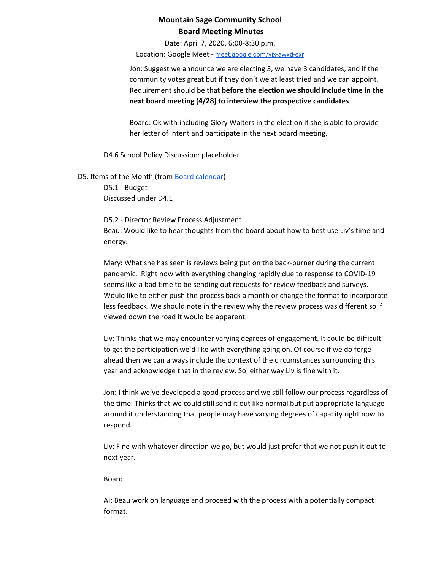Date: April 7, 2020, 6:00-8:30 p.m.

Location: Google Meet - [meet.google.com/yjx-awxd-exr](https://meet.google.com/yjx-awxd-exr)

Jon: Suggest we announce we are electing 3, we have 3 candidates, and if the community votes great but if they don't we at least tried and we can appoint. Requirement should be that **before the election we should include time in the next board meeting (4/28) to interview the prospective candidates**.

Board: Ok with including Glory Walters in the election if she is able to provide her letter of intent and participate in the next board meeting.

D4.6 School Policy Discussion: placeholder

D5. Items of the Month (from Board [calendar](https://docs.google.com/document/d/12S6s-qevYMsnj8Cr2yw6uMO7S7hL3gz2oKvXZk5ZndQ/edit?usp=sharing)) D5.1 - Budget

Discussed under D4.1

D5.2 - Director Review Process Adjustment Beau: Would like to hear thoughts from the board about how to best use Liv's time and energy.

Mary: What she has seen is reviews being put on the back-burner during the current pandemic. Right now with everything changing rapidly due to response to COVID-19 seems like a bad time to be sending out requests for review feedback and surveys. Would like to either push the process back a month or change the format to incorporate less feedback. We should note in the review why the review process was different so if viewed down the road it would be apparent.

Liv: Thinks that we may encounter varying degrees of engagement. It could be difficult to get the participation we'd like with everything going on. Of course if we do forge ahead then we can always include the context of the circumstances surrounding this year and acknowledge that in the review. So, either way Liv is fine with it.

Jon: I think we've developed a good process and we still follow our process regardless of the time. Thinks that we could still send it out like normal but put appropriate language around it understanding that people may have varying degrees of capacity right now to respond.

Liv: Fine with whatever direction we go, but would just prefer that we not push it out to next year.

Board:

AI: Beau work on language and proceed with the process with a potentially compact format.